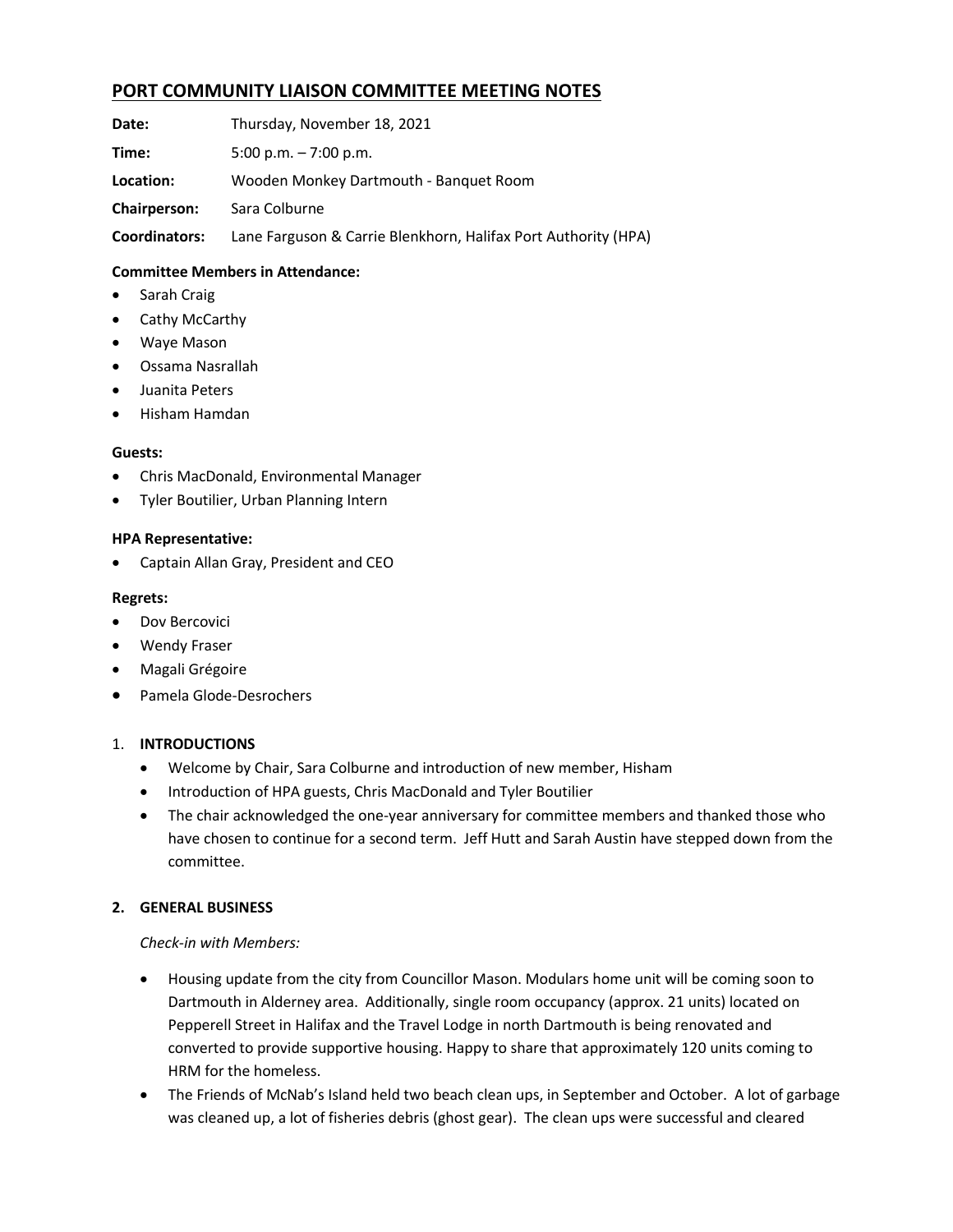# **PORT COMMUNITY LIAISON COMMITTEE MEETING NOTES**

**Date:**    Thursday, November 18, 2021

**Time:** 5:00 p.m. – 7:00 p.m.

**Location:**    Wooden Monkey Dartmouth - Banquet Room

**Chairperson:**    Sara Colburne   

**Coordinators:** Lane Farguson & Carrie Blenkhorn, Halifax Port Authority (HPA) 

# **Committee Members in Attendance:**

- Sarah Craig
- Cathy McCarthy
- Waye Mason
- Ossama Nasrallah
- Juanita Peters
- Hisham Hamdan

#### **Guests:**

- Chris MacDonald, Environmental Manager
- Tyler Boutilier, Urban Planning Intern

#### **HPA Representative:**

• Captain Allan Gray, President and CEO

#### **Regrets:**

- Dov Bercovici
- Wendy Fraser
- Magali Grégoire
- Pamela Glode-Desrochers

#### 1. **INTRODUCTIONS**

- Welcome by Chair, Sara Colburne and introduction of new member, Hisham
- Introduction of HPA guests, Chris MacDonald and Tyler Boutilier
- The chair acknowledged the one-year anniversary for committee members and thanked those who have chosen to continue for a second term. Jeff Hutt and Sarah Austin have stepped down from the committee.

# **2. GENERAL BUSINESS**

#### *Check-in with Members:*

- Housing update from the city from Councillor Mason. Modulars home unit will be coming soon to Dartmouth in Alderney area. Additionally, single room occupancy (approx. 21 units) located on Pepperell Street in Halifax and the Travel Lodge in north Dartmouth is being renovated and converted to provide supportive housing. Happy to share that approximately 120 units coming to HRM for the homeless.
- The Friends of McNab's Island held two beach clean ups, in September and October. A lot of garbage was cleaned up, a lot of fisheries debris (ghost gear). The clean ups were successful and cleared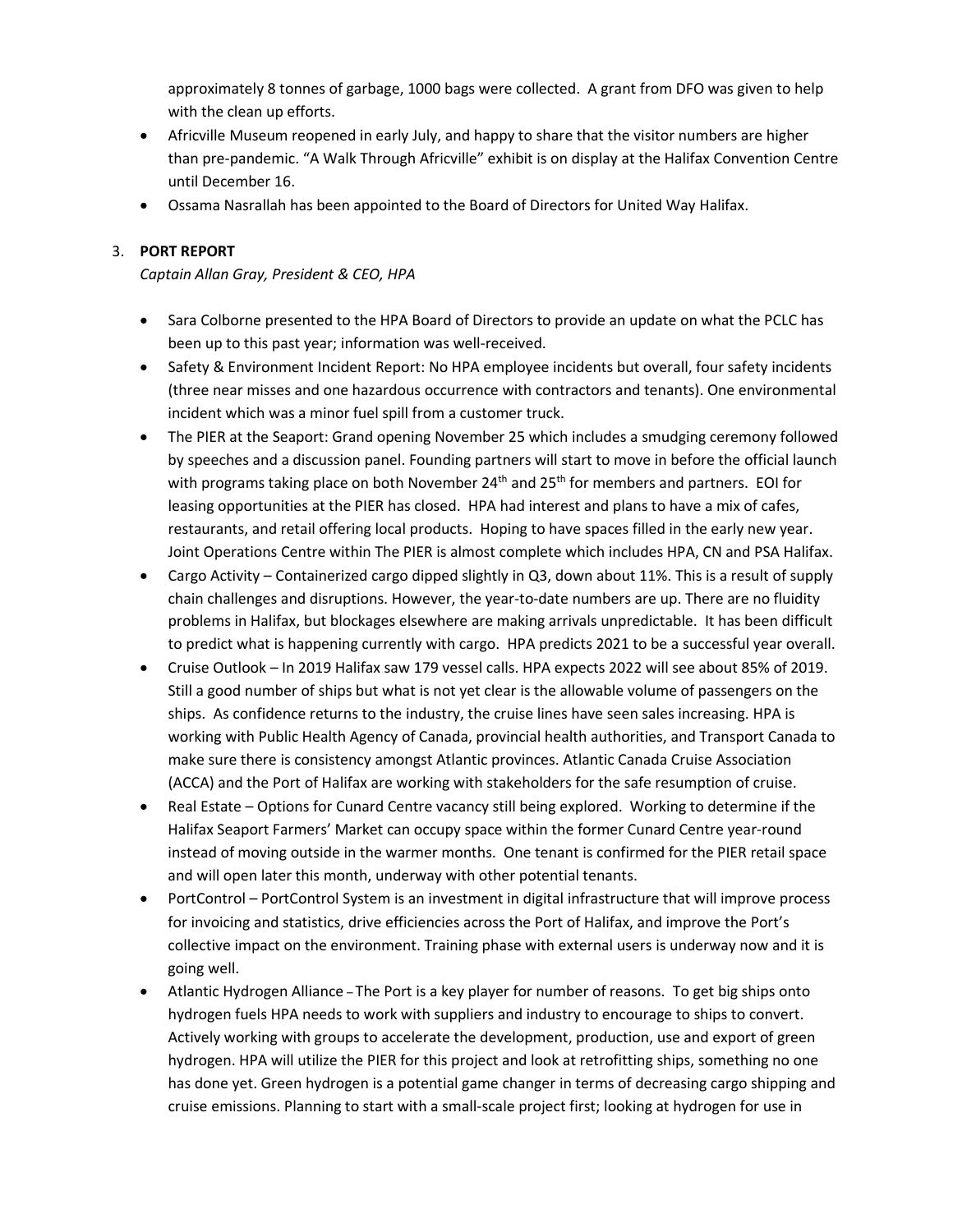approximately 8 tonnes of garbage, 1000 bags were collected. A grant from DFO was given to help with the clean up efforts.

- Africville Museum reopened in early July, and happy to share that the visitor numbers are higher than pre-pandemic. "A Walk Through Africville" exhibit is on display at the Halifax Convention Centre until December 16.
- Ossama Nasrallah has been appointed to the Board of Directors for United Way Halifax.

# 3. **PORT REPORT**

*Captain Allan Gray, President & CEO, HPA*

- Sara Colborne presented to the HPA Board of Directors to provide an update on what the PCLC has been up to this past year; information was well-received.
- Safety & Environment Incident Report: No HPA employee incidents but overall, four safety incidents (three near misses and one hazardous occurrence with contractors and tenants). One environmental incident which was a minor fuel spill from a customer truck.
- The PIER at the Seaport: Grand opening November 25 which includes a smudging ceremony followed by speeches and a discussion panel. Founding partners will start to move in before the official launch with programs taking place on both November  $24<sup>th</sup>$  and  $25<sup>th</sup>$  for members and partners. EOI for leasing opportunities at the PIER has closed. HPA had interest and plans to have a mix of cafes, restaurants, and retail offering local products. Hoping to have spaces filled in the early new year. Joint Operations Centre within The PIER is almost complete which includes HPA, CN and PSA Halifax.
- Cargo Activity Containerized cargo dipped slightly in Q3, down about 11%. This is a result of supply chain challenges and disruptions. However, the year-to-date numbers are up. There are no fluidity problems in Halifax, but blockages elsewhere are making arrivals unpredictable. It has been difficult to predict what is happening currently with cargo. HPA predicts 2021 to be a successful year overall.
- Cruise Outlook In 2019 Halifax saw 179 vessel calls. HPA expects 2022 will see about 85% of 2019. Still a good number of ships but what is not yet clear is the allowable volume of passengers on the ships. As confidence returns to the industry, the cruise lines have seen sales increasing. HPA is working with Public Health Agency of Canada, provincial health authorities, and Transport Canada to make sure there is consistency amongst Atlantic provinces. Atlantic Canada Cruise Association (ACCA) and the Port of Halifax are working with stakeholders for the safe resumption of cruise.
- Real Estate Options for Cunard Centre vacancy still being explored. Working to determine if the Halifax Seaport Farmers' Market can occupy space within the former Cunard Centre year-round instead of moving outside in the warmer months. One tenant is confirmed for the PIER retail space and will open later this month, underway with other potential tenants.
- PortControl PortControl System is an investment in digital infrastructure that will improve process for invoicing and statistics, drive efficiencies across the Port of Halifax, and improve the Port's collective impact on the environment. Training phase with external users is underway now and it is going well.
- Atlantic Hydrogen Alliance The Port is a key player for number of reasons. To get big ships onto hydrogen fuels HPA needs to work with suppliers and industry to encourage to ships to convert. Actively working with groups to accelerate the development, production, use and export of green hydrogen. HPA will utilize the PIER for this project and look at retrofitting ships, something no one has done yet. Green hydrogen is a potential game changer in terms of decreasing cargo shipping and cruise emissions. Planning to start with a small-scale project first; looking at hydrogen for use in